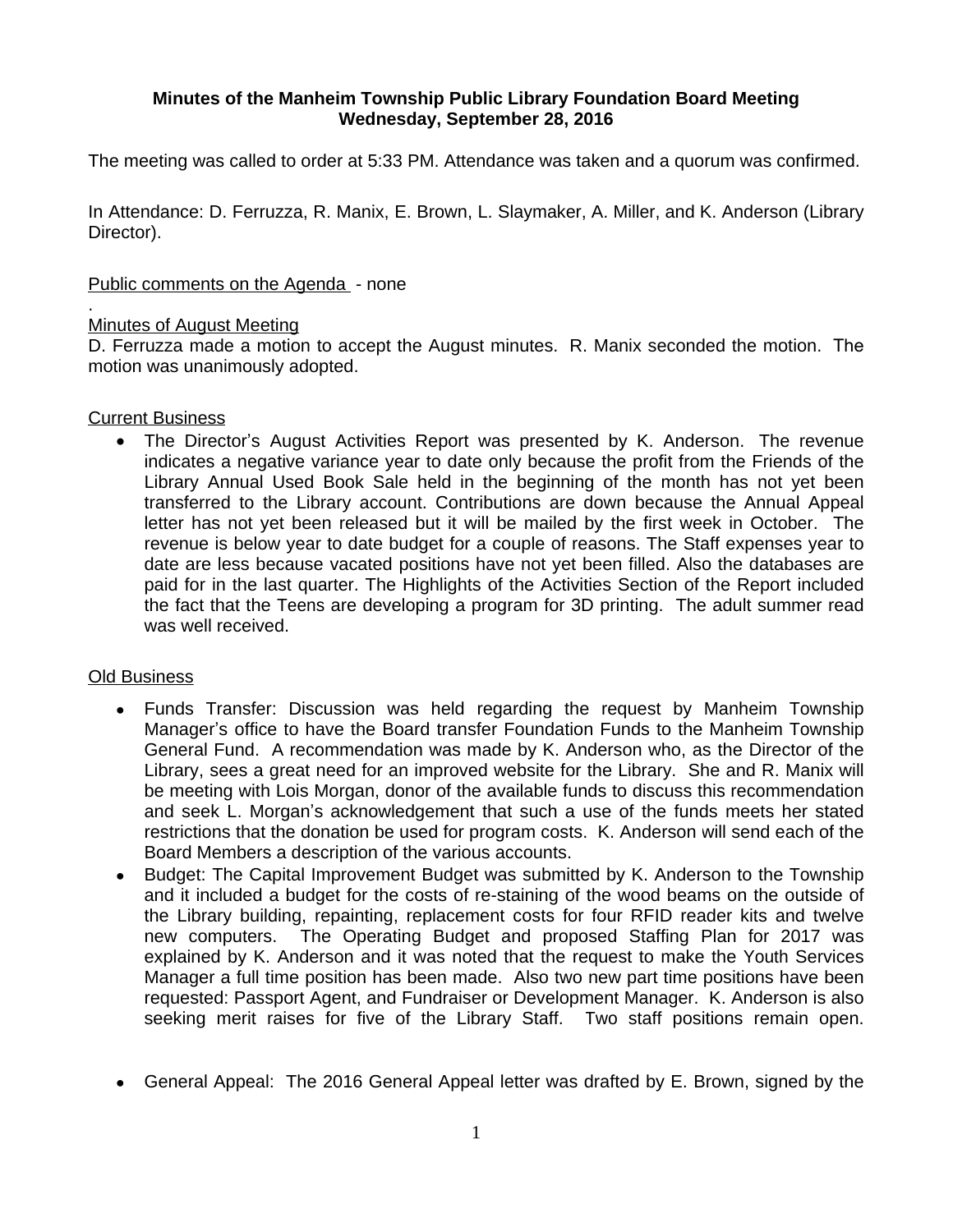# **Minutes of the Manheim Township Public Library Foundation Board Meeting Wednesday, September 28, 2016**

The meeting was called to order at 5:33 PM. Attendance was taken and a quorum was confirmed.

In Attendance: D. Ferruzza, R. Manix, E. Brown, L. Slaymaker, A. Miller, and K. Anderson (Library Director).

### Public comments on the Agenda - none

#### . Minutes of August Meeting

D. Ferruzza made a motion to accept the August minutes. R. Manix seconded the motion. The motion was unanimously adopted.

### Current Business

• The Director's August Activities Report was presented by K. Anderson. The revenue indicates a negative variance year to date only because the profit from the Friends of the Library Annual Used Book Sale held in the beginning of the month has not yet been transferred to the Library account. Contributions are down because the Annual Appeal letter has not yet been released but it will be mailed by the first week in October. The revenue is below year to date budget for a couple of reasons. The Staff expenses year to date are less because vacated positions have not yet been filled. Also the databases are paid for in the last quarter. The Highlights of the Activities Section of the Report included the fact that the Teens are developing a program for 3D printing. The adult summer read was well received.

## Old Business

- Funds Transfer: Discussion was held regarding the request by Manheim Township Manager's office to have the Board transfer Foundation Funds to the Manheim Township General Fund. A recommendation was made by K. Anderson who, as the Director of the Library, sees a great need for an improved website for the Library. She and R. Manix will be meeting with Lois Morgan, donor of the available funds to discuss this recommendation and seek L. Morgan's acknowledgement that such a use of the funds meets her stated restrictions that the donation be used for program costs. K. Anderson will send each of the Board Members a description of the various accounts.
- Budget: The Capital Improvement Budget was submitted by K. Anderson to the Township and it included a budget for the costs of re-staining of the wood beams on the outside of the Library building, repainting, replacement costs for four RFID reader kits and twelve new computers. The Operating Budget and proposed Staffing Plan for 2017 was explained by K. Anderson and it was noted that the request to make the Youth Services Manager a full time position has been made. Also two new part time positions have been requested: Passport Agent, and Fundraiser or Development Manager. K. Anderson is also seeking merit raises for five of the Library Staff. Two staff positions remain open.
- General Appeal: The 2016 General Appeal letter was drafted by E. Brown, signed by the